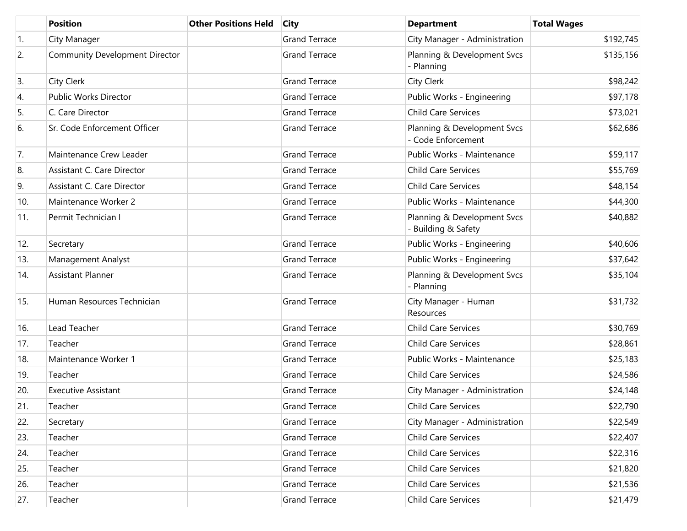|     | <b>Position</b>                | <b>Other Positions Held</b> | <b>City</b>          | <b>Department</b>                                  | <b>Total Wages</b> |
|-----|--------------------------------|-----------------------------|----------------------|----------------------------------------------------|--------------------|
| 1.  | City Manager                   |                             | <b>Grand Terrace</b> | City Manager - Administration                      | \$192,745          |
| 2.  | Community Development Director |                             | <b>Grand Terrace</b> | Planning & Development Svcs<br>- Planning          | \$135,156          |
| 3.  | City Clerk                     |                             | <b>Grand Terrace</b> | City Clerk                                         | \$98,242           |
| 4.  | Public Works Director          |                             | <b>Grand Terrace</b> | Public Works - Engineering                         | \$97,178           |
| 5.  | C. Care Director               |                             | <b>Grand Terrace</b> | <b>Child Care Services</b>                         | \$73,021           |
| 6.  | Sr. Code Enforcement Officer   |                             | <b>Grand Terrace</b> | Planning & Development Svcs<br>- Code Enforcement  | \$62,686           |
| 7.  | Maintenance Crew Leader        |                             | <b>Grand Terrace</b> | Public Works - Maintenance                         | \$59,117           |
| 8.  | Assistant C. Care Director     |                             | <b>Grand Terrace</b> | <b>Child Care Services</b>                         | \$55,769           |
| 9.  | Assistant C. Care Director     |                             | <b>Grand Terrace</b> | <b>Child Care Services</b>                         | \$48,154           |
| 10. | Maintenance Worker 2           |                             | <b>Grand Terrace</b> | Public Works - Maintenance                         | \$44,300           |
| 11. | Permit Technician I            |                             | <b>Grand Terrace</b> | Planning & Development Svcs<br>- Building & Safety | \$40,882           |
| 12. | Secretary                      |                             | <b>Grand Terrace</b> | Public Works - Engineering                         | \$40,606           |
| 13. | <b>Management Analyst</b>      |                             | <b>Grand Terrace</b> | Public Works - Engineering                         | \$37,642           |
| 14. | Assistant Planner              |                             | <b>Grand Terrace</b> | Planning & Development Svcs<br>- Planning          | \$35,104           |
| 15. | Human Resources Technician     |                             | <b>Grand Terrace</b> | City Manager - Human<br>Resources                  | \$31,732           |
| 16. | Lead Teacher                   |                             | <b>Grand Terrace</b> | <b>Child Care Services</b>                         | \$30,769           |
| 17. | Teacher                        |                             | <b>Grand Terrace</b> | <b>Child Care Services</b>                         | \$28,861           |
| 18. | Maintenance Worker 1           |                             | <b>Grand Terrace</b> | Public Works - Maintenance                         | \$25,183           |
| 19. | Teacher                        |                             | <b>Grand Terrace</b> | <b>Child Care Services</b>                         | \$24,586           |
| 20. | <b>Executive Assistant</b>     |                             | <b>Grand Terrace</b> | City Manager - Administration                      | \$24,148           |
| 21. | Teacher                        |                             | <b>Grand Terrace</b> | Child Care Services                                | \$22,790           |
| 22. | Secretary                      |                             | <b>Grand Terrace</b> | City Manager - Administration                      | \$22,549           |
| 23. | Teacher                        |                             | <b>Grand Terrace</b> | <b>Child Care Services</b>                         | \$22,407           |
| 24. | Teacher                        |                             | <b>Grand Terrace</b> | <b>Child Care Services</b>                         | \$22,316           |
| 25. | Teacher                        |                             | <b>Grand Terrace</b> | <b>Child Care Services</b>                         | \$21,820           |
| 26. | Teacher                        |                             | <b>Grand Terrace</b> | <b>Child Care Services</b>                         | \$21,536           |
| 27. | Teacher                        |                             | <b>Grand Terrace</b> | <b>Child Care Services</b>                         | \$21,479           |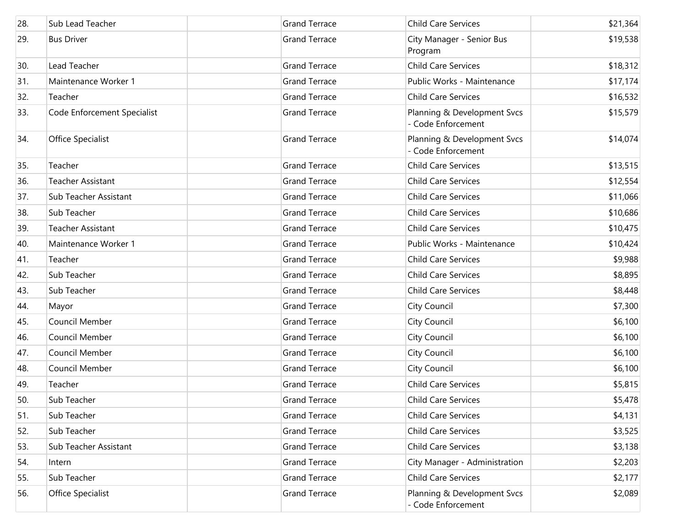| 28. | Sub Lead Teacher            | <b>Grand Terrace</b> | <b>Child Care Services</b>                        | \$21,364 |
|-----|-----------------------------|----------------------|---------------------------------------------------|----------|
| 29. | <b>Bus Driver</b>           | <b>Grand Terrace</b> | City Manager - Senior Bus<br>Program              | \$19,538 |
| 30. | Lead Teacher                | <b>Grand Terrace</b> | <b>Child Care Services</b>                        | \$18,312 |
| 31. | Maintenance Worker 1        | <b>Grand Terrace</b> | Public Works - Maintenance                        | \$17,174 |
| 32. | Teacher                     | <b>Grand Terrace</b> | <b>Child Care Services</b>                        | \$16,532 |
| 33. | Code Enforcement Specialist | <b>Grand Terrace</b> | Planning & Development Svcs<br>- Code Enforcement | \$15,579 |
| 34. | Office Specialist           | <b>Grand Terrace</b> | Planning & Development Svcs<br>- Code Enforcement | \$14,074 |
| 35. | Teacher                     | <b>Grand Terrace</b> | <b>Child Care Services</b>                        | \$13,515 |
| 36. | <b>Teacher Assistant</b>    | <b>Grand Terrace</b> | <b>Child Care Services</b>                        | \$12,554 |
| 37. | Sub Teacher Assistant       | <b>Grand Terrace</b> | <b>Child Care Services</b>                        | \$11,066 |
| 38. | Sub Teacher                 | <b>Grand Terrace</b> | <b>Child Care Services</b>                        | \$10,686 |
| 39. | <b>Teacher Assistant</b>    | <b>Grand Terrace</b> | <b>Child Care Services</b>                        | \$10,475 |
| 40. | Maintenance Worker 1        | <b>Grand Terrace</b> | Public Works - Maintenance                        | \$10,424 |
| 41. | Teacher                     | <b>Grand Terrace</b> | <b>Child Care Services</b>                        | \$9,988  |
| 42. | Sub Teacher                 | <b>Grand Terrace</b> | <b>Child Care Services</b>                        | \$8,895  |
| 43. | Sub Teacher                 | <b>Grand Terrace</b> | Child Care Services                               | \$8,448  |
| 44. | Mayor                       | <b>Grand Terrace</b> | City Council                                      | \$7,300  |
| 45. | Council Member              | <b>Grand Terrace</b> | City Council                                      | \$6,100  |
| 46. | Council Member              | <b>Grand Terrace</b> | City Council                                      | \$6,100  |
| 47. | Council Member              | <b>Grand Terrace</b> | City Council                                      | \$6,100  |
| 48. | Council Member              | <b>Grand Terrace</b> | City Council                                      | \$6,100  |
| 49. | Teacher                     | <b>Grand Terrace</b> | <b>Child Care Services</b>                        | \$5,815  |
| 50. | Sub Teacher                 | <b>Grand Terrace</b> | <b>Child Care Services</b>                        | \$5,478  |
| 51. | Sub Teacher                 | <b>Grand Terrace</b> | Child Care Services                               | \$4,131  |
| 52. | Sub Teacher                 | <b>Grand Terrace</b> | <b>Child Care Services</b>                        | \$3,525  |
| 53. | Sub Teacher Assistant       | <b>Grand Terrace</b> | <b>Child Care Services</b>                        | \$3,138  |
| 54. | Intern                      | <b>Grand Terrace</b> | City Manager - Administration                     | \$2,203  |
| 55. | Sub Teacher                 | <b>Grand Terrace</b> | Child Care Services                               | \$2,177  |
| 56. | Office Specialist           | <b>Grand Terrace</b> | Planning & Development Svcs<br>Code Enforcement   | \$2,089  |